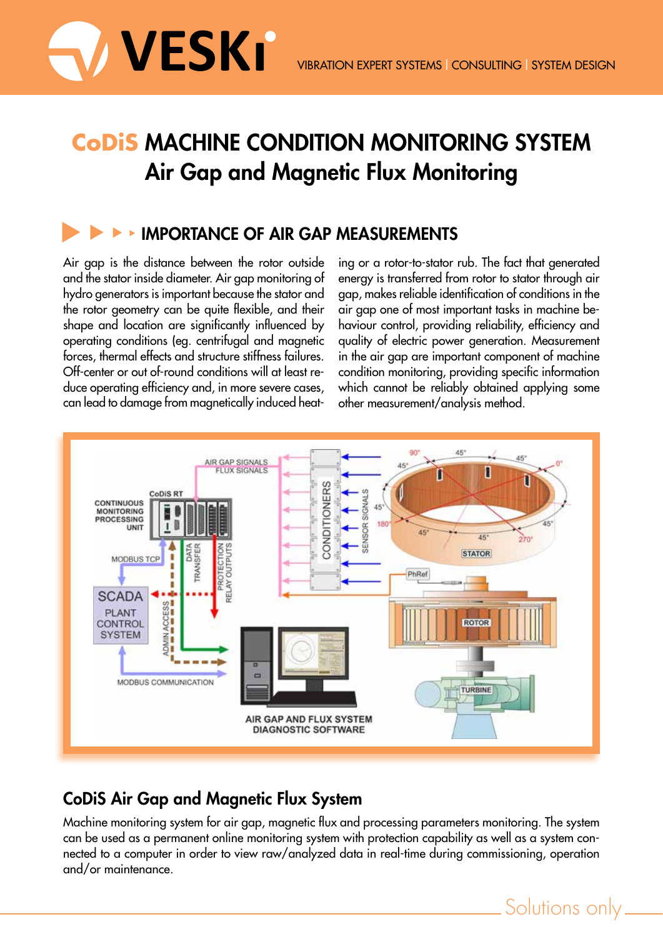

# **CoDiS Machine Condition Monitoring system Air Gap and Magnetic Flux Monitoring**

## **IMPORTANCE OF AIR GAP MEASUREMENTS**

Air gap is the distance between the rotor outside and the stator inside diameter. Air gap monitoring of hydro generators is important because the stator and the rotor geometry can be quite flexible, and their shape and location are significantly influenced by operating conditions (eg. centrifugal and magnetic forces, thermal effects and structure stiffness failures. Off-center or out of-round conditions will at least reduce operating efficiency and, in more severe cases, can lead to damage from magnetically induced heating or a rotor-to-stator rub. The fact that generated energy is transferred from rotor to stator through air gap, makes reliable identification of conditions in the air gap one of most important tasks in machine behaviour control, providing reliability, efficiency and quality of electric power generation. Measurement in the air gap are important component of machine condition monitoring, providing specific information which cannot be reliably obtained applying some other measurement/analysis method.



## **CoDiS Air Gap and Magnetic Flux System**

Machine monitoring system for air gap, magnetic flux and processing parameters monitoring. The system can be used as a permanent online monitoring system with protection capability as well as a system connected to a computer in order to view raw/analyzed data in real-time during commissioning, operation and/or maintenance.

Solutions only\_